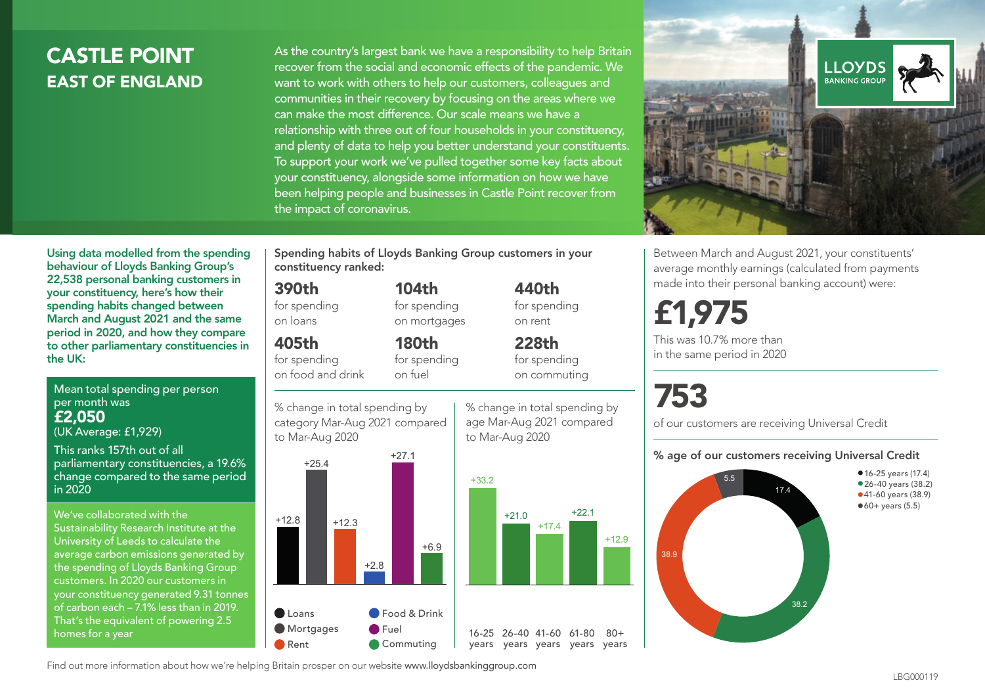# **CASTLE POINT** EAST OF ENGLAND

As the country's largest bank we have a responsibility to help Britain recover from the social and economic effects of the pandemic. We want to work with others to help our customers, colleagues and communities in their recovery by focusing on the areas where we can make the most difference. Our scale means we have a relationship with three out of four households in your constituency, and plenty of data to help you better understand your constituents. To support your work we've pulled together some key facts about your constituency, alongside some information on how we have been helping people and businesses in Castle Point recover from the impact of coronavirus.



Between March and August 2021, your constituents' average monthly earnings (calculated from payments made into their personal banking account) were:

# £1,975

This was 10.7% more than in the same period in 2020

# 753

of our customers are receiving Universal Credit

#### % age of our customers receiving Universal Credit



•16-25 years (17.4) • 26-40 years (38.2) •41-60 years (38.9)  $•60+ years (5.5)$ 

Using data modelled from the spending behaviour of Lloyds Banking Group's 22,538 personal banking customers in your constituency, here's how their spending habits changed between March and August 2021 and the same period in 2020, and how they compare to other parliamentary constituencies in the UK:

Mean total spending per person per month was £2,050 (UK Average: £1,929)

This ranks 157th out of all parliamentary constituencies, a 19.6% change compared to the same period in 2020

We've collaborated with the Sustainability Research Institute at the University of Leeds to calculate the average carbon emissions generated by the spending of Lloyds Banking Group customers. In 2020 our customers in your constituency generated 9.31 tonnes of carbon each – 7.1% less than in 2019. That's the equivalent of powering 2.5 homes for a year

Spending habits of Lloyds Banking Group customers in your constituency ranked:

> 104th for spending on mortgages

180th for spending

#### 390th

for spending on loans

#### 405th

for spending on food and drink

% change in total spending by category Mar-Aug 2021 compared on fuel



**Food & Drink B** Fuel Commuting

% change in total spending by age Mar-Aug 2021 compared to Mar-Aug 2020

440th for spending on rent

228th for spending on commuting

16-25 26-40 41-60 61-80 years years years years years

 $80 +$ 



Find out more information about how we're helping Britain prosper on our website www.lloydsbankinggroup.com Rent

Loans **Mortgages**